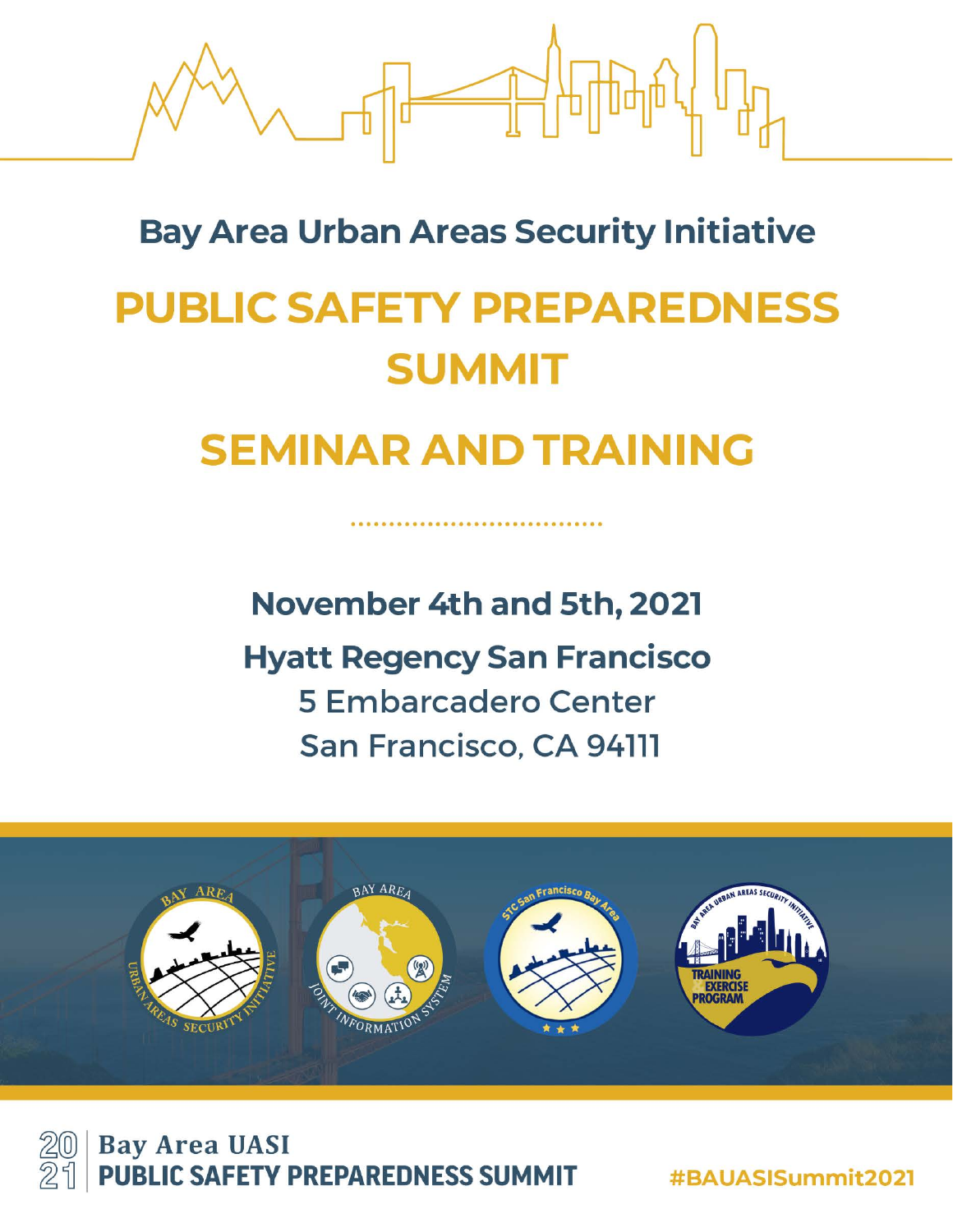

# **Bay Area Urban Areas Security Initiative**

# **PUBLIC SAFETY PREPAREDNESS SUMMIT**

# **SEMINAR AND TRAINING**

November 4th and 5th, 2021

**Hyatt Regency San Francisco 5 Embarcadero Center** San Francisco, CA 94111





#BAUASISummit2021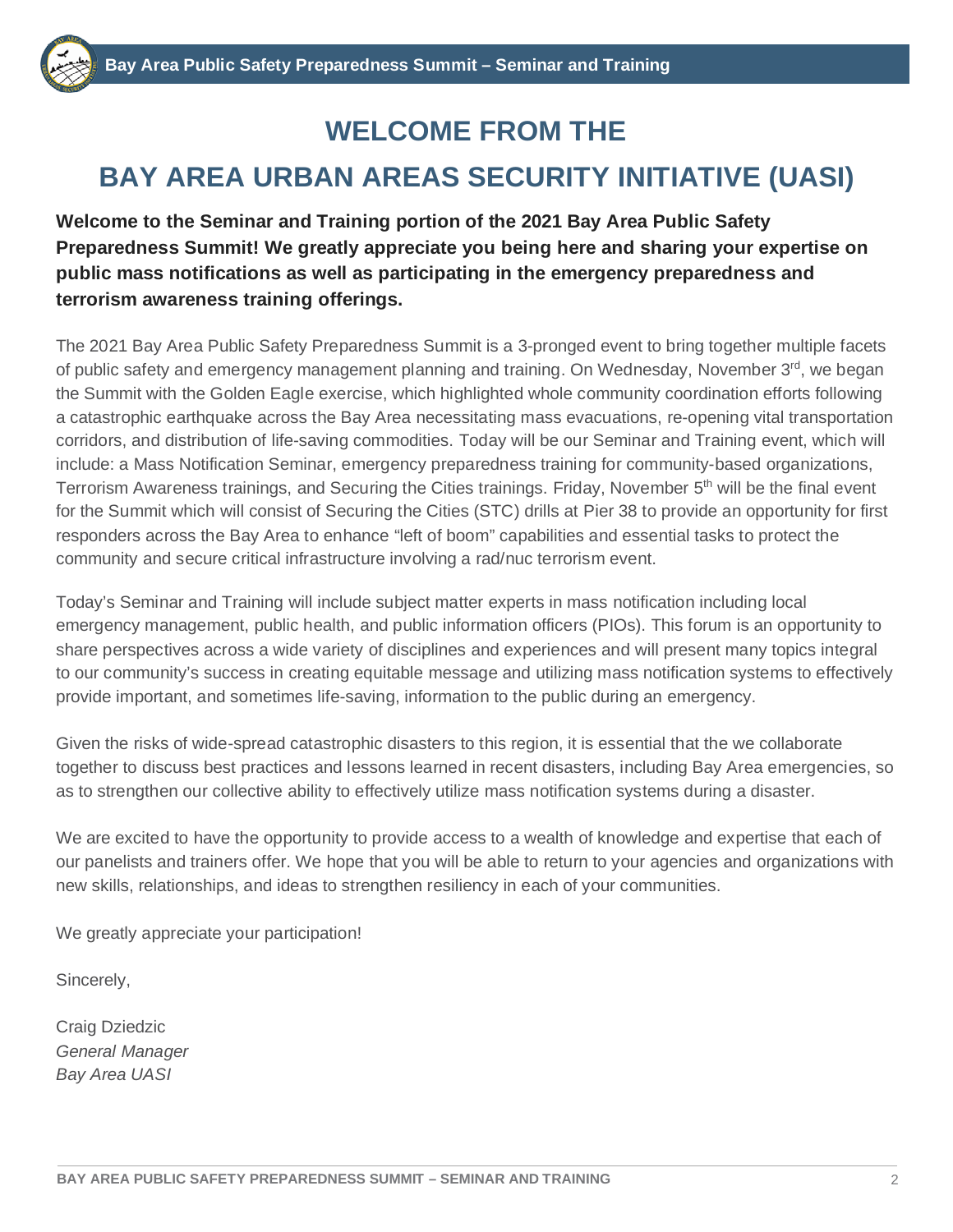## **WELCOME FROM THE**

## **BAY AREA URBAN AREAS SECURITY INITIATIVE (UASI)**

**Welcome to the Seminar and Training portion of the 2021 Bay Area Public Safety Preparedness Summit! We greatly appreciate you being here and sharing your expertise on public mass notifications as well as participating in the emergency preparedness and terrorism awareness training offerings.** 

The 2021 Bay Area Public Safety Preparedness Summit is a 3-pronged event to bring together multiple facets of public safety and emergency management planning and training. On Wednesday, November 3<sup>rd</sup>, we began the Summit with the Golden Eagle exercise, which highlighted whole community coordination efforts following a catastrophic earthquake across the Bay Area necessitating mass evacuations, re-opening vital transportation corridors, and distribution of life-saving commodities. Today will be our Seminar and Training event, which will include: a Mass Notification Seminar, emergency preparedness training for community-based organizations, Terrorism Awareness trainings, and Securing the Cities trainings. Friday, November 5<sup>th</sup> will be the final event for the Summit which will consist of Securing the Cities (STC) drills at Pier 38 to provide an opportunity for first responders across the Bay Area to enhance "left of boom" capabilities and essential tasks to protect the community and secure critical infrastructure involving a rad/nuc terrorism event.

Today's Seminar and Training will include subject matter experts in mass notification including local emergency management, public health, and public information officers (PIOs). This forum is an opportunity to share perspectives across a wide variety of disciplines and experiences and will present many topics integral to our community's success in creating equitable message and utilizing mass notification systems to effectively provide important, and sometimes life-saving, information to the public during an emergency.

Given the risks of wide-spread catastrophic disasters to this region, it is essential that the we collaborate together to discuss best practices and lessons learned in recent disasters, including Bay Area emergencies, so as to strengthen our collective ability to effectively utilize mass notification systems during a disaster.

We are excited to have the opportunity to provide access to a wealth of knowledge and expertise that each of our panelists and trainers offer. We hope that you will be able to return to your agencies and organizations with new skills, relationships, and ideas to strengthen resiliency in each of your communities.

We greatly appreciate your participation!

Sincerely,

Craig Dziedzic *General Manager Bay Area UASI*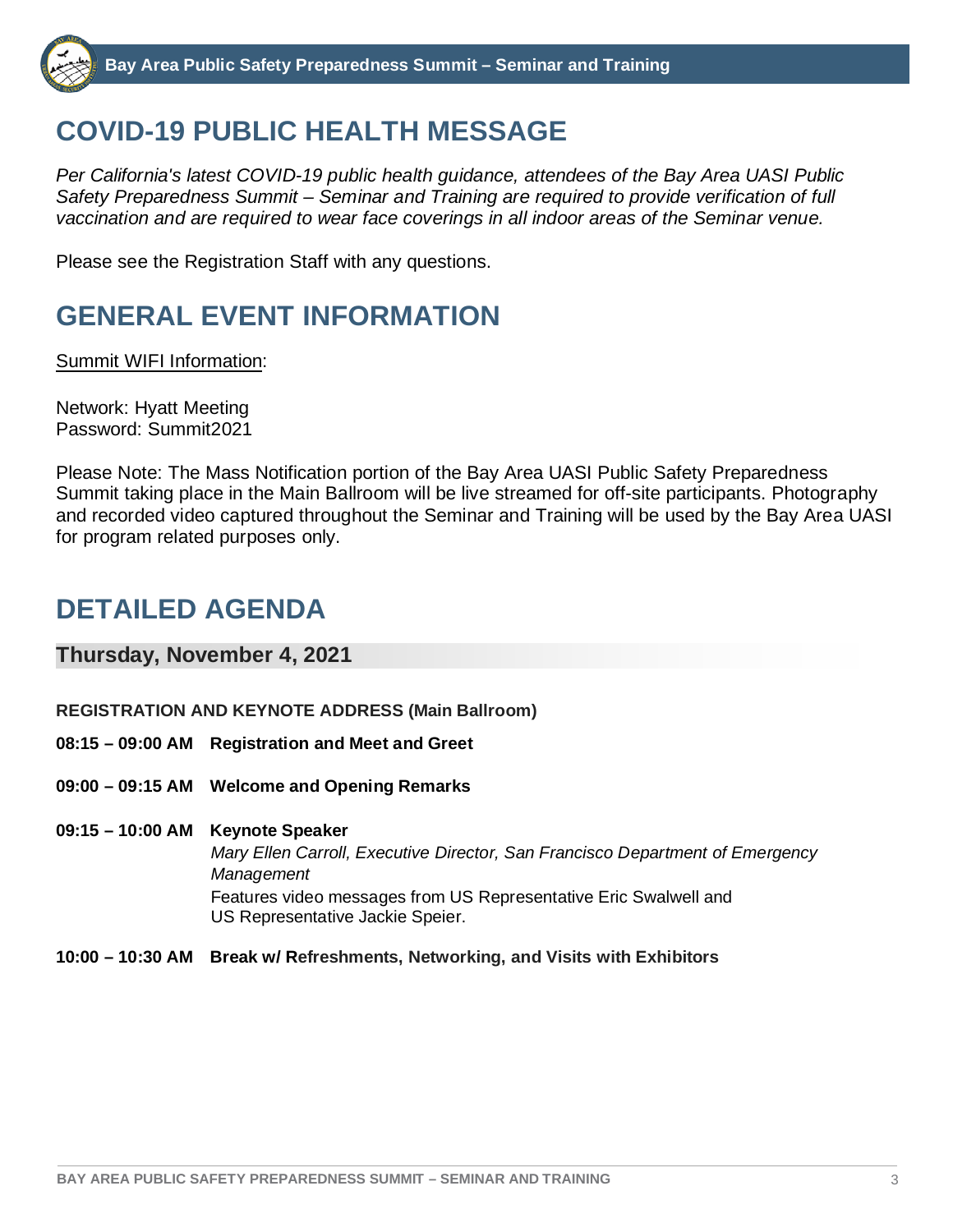## **COVID-19 PUBLIC HEALTH MESSAGE**

*Per California's latest COVID-19 public health guidance, attendees of the Bay Area UASI Public Safety Preparedness Summit – Seminar and Training are required to provide verification of full vaccination and are required to wear face coverings in all indoor areas of the Seminar venue.*

Please see the Registration Staff with any questions.

# **GENERAL EVENT INFORMATION**

Summit WIFI Information:

Network: Hyatt Meeting Password: Summit2021

Please Note: The Mass Notification portion of the Bay Area UASI Public Safety Preparedness Summit taking place in the Main Ballroom will be live streamed for off-site participants. Photography and recorded video captured throughout the Seminar and Training will be used by the Bay Area UASI for program related purposes only.

## **DETAILED AGENDA**

#### **Thursday, November 4, 2021**

- **REGISTRATION AND KEYNOTE ADDRESS (Main Ballroom)**
- **08:15 – 09:00 AM Registration and Meet and Greet**
- **09:00 – 09:15 AM Welcome and Opening Remarks**
- **09:15 – 10:00 AM Keynote Speaker**

*Mary Ellen Carroll, Executive Director, San Francisco Department of Emergency Management* Features video messages from US Representative Eric Swalwell and US Representative Jackie Speier.

**10:00 – 10:30 AM Break w/ Refreshments, Networking, and Visits with Exhibitors**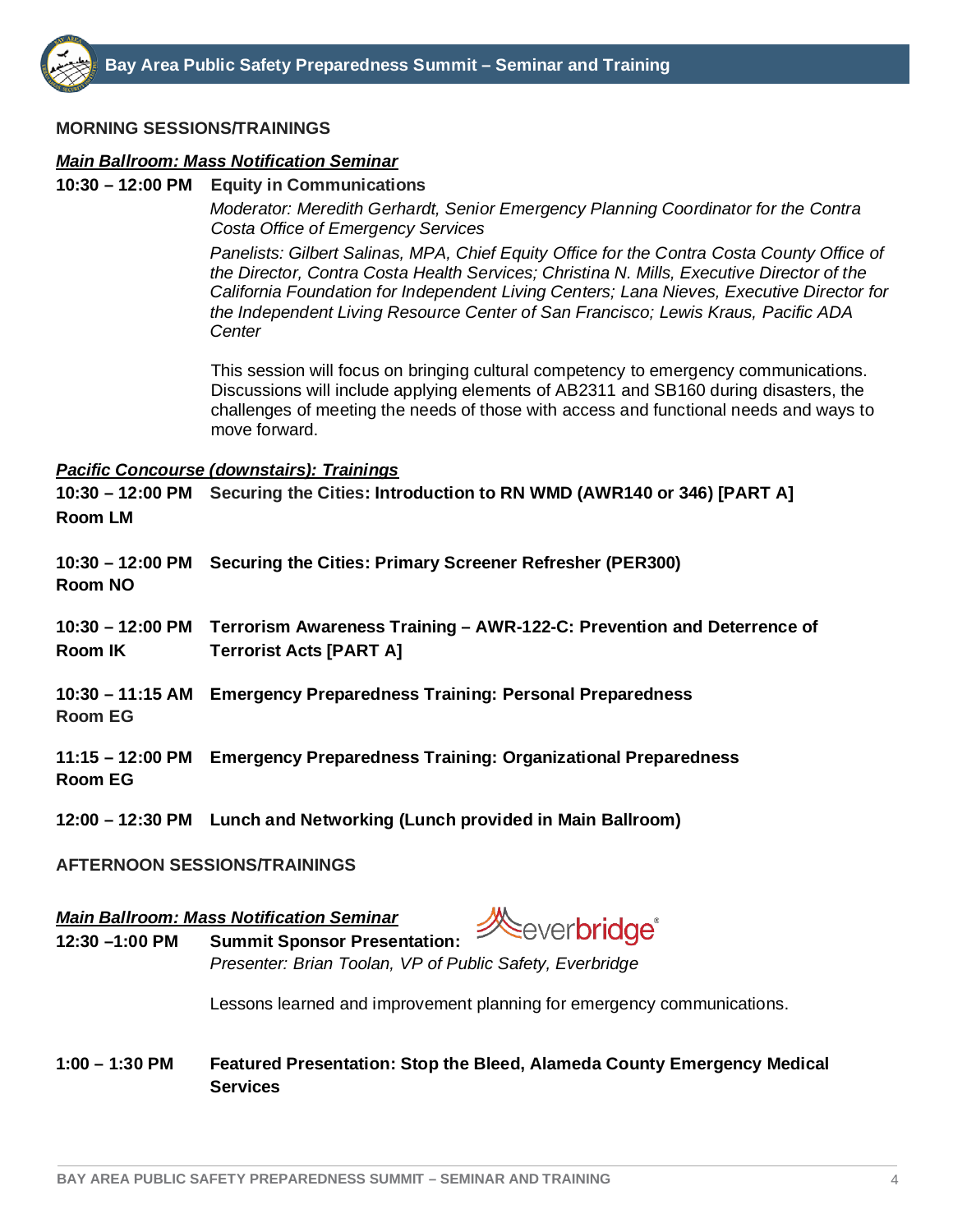

#### **MORNING SESSIONS/TRAININGS**

#### *Main Ballroom: Mass Notification Seminar*

#### **10:30 – 12:00 PM Equity in Communications**

*Moderator: Meredith Gerhardt, Senior Emergency Planning Coordinator for the Contra Costa Office of Emergency Services*

*Panelists: Gilbert Salinas, MPA, Chief Equity Office for the Contra Costa County Office of the Director, Contra Costa Health Services; Christina N. Mills, Executive Director of the California Foundation for Independent Living Centers; Lana Nieves, Executive Director for the Independent Living Resource Center of San Francisco; Lewis Kraus, Pacific ADA Center*

This session will focus on bringing cultural competency to emergency communications. Discussions will include applying elements of AB2311 and SB160 during disasters, the challenges of meeting the needs of those with access and functional needs and ways to move forward.

#### *Pacific Concourse (downstairs): Trainings*

**10:30 – 12:00 PM Securing the Cities: Introduction to RN WMD (AWR140 or 346) [PART A] Room LM**

**10:30 – 12:00 PM Securing the Cities: Primary Screener Refresher (PER300) Room NO**

**10:30 – 12:00 PM Terrorism Awareness Training – AWR-122-C: Prevention and Deterrence of Room IK Terrorist Acts [PART A]**

**10:30 – 11:15 AM Emergency Preparedness Training: Personal Preparedness Room EG**

**11:15 – 12:00 PM Emergency Preparedness Training: Organizational Preparedness Room EG**

**12:00 – 12:30 PM Lunch and Networking (Lunch provided in Main Ballroom)**

#### **AFTERNOON SESSIONS/TRAININGS**

#### *Main Ballroom: Mass Notification Seminar*

ever**bridae**<sup>®</sup> **12:30 –1:00 PM Summit Sponsor Presentation:** 

*Presenter: Brian Toolan, VP of Public Safety, Everbridge*

Lessons learned and improvement planning for emergency communications.

**1:00 – 1:30 PM Featured Presentation: Stop the Bleed, Alameda County Emergency Medical Services**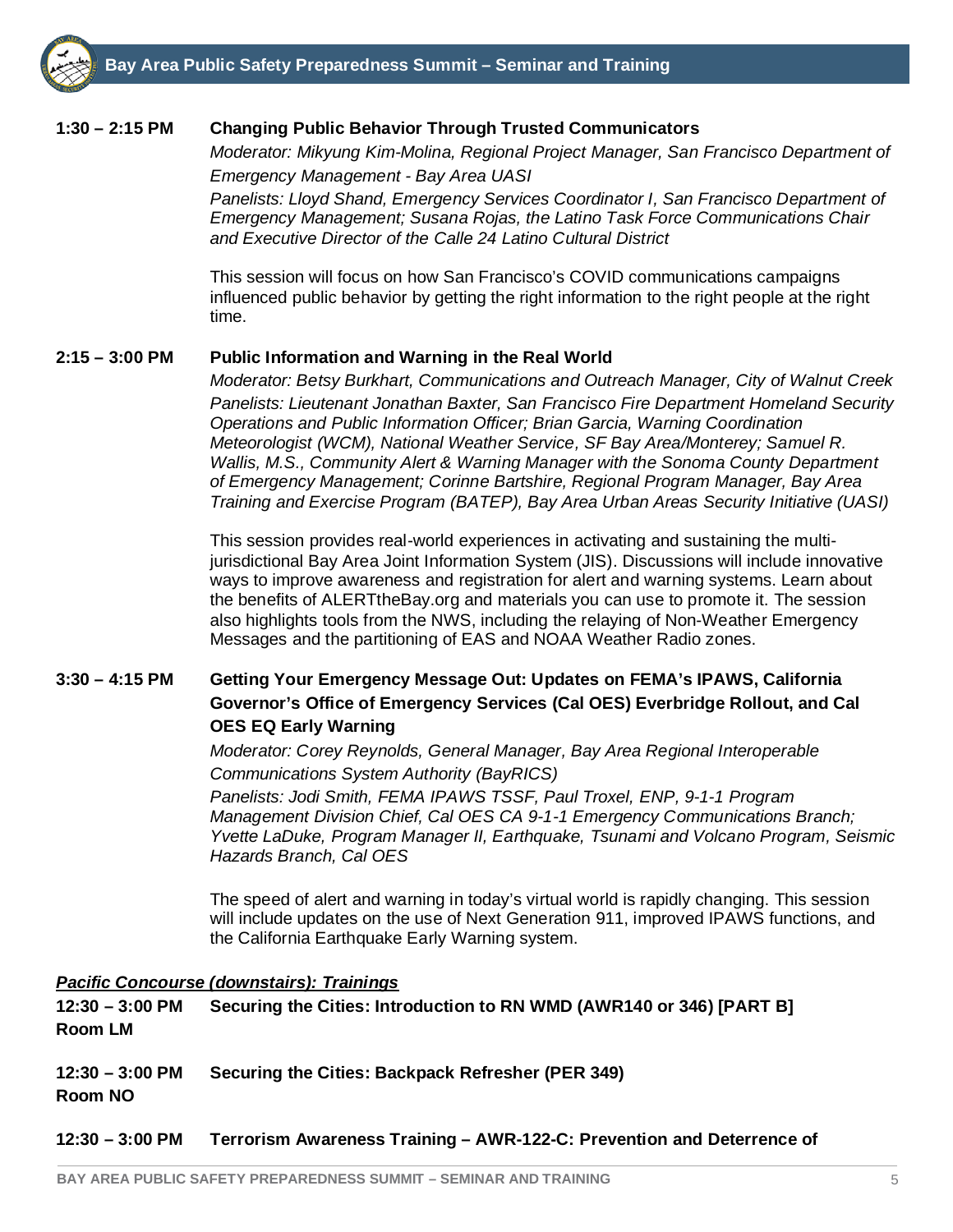#### **1:30 – 2:15 PM Changing Public Behavior Through Trusted Communicators**

*Moderator: Mikyung Kim-Molina, Regional Project Manager, San Francisco Department of Emergency Management - Bay Area UASI*

*Panelists: Lloyd Shand, Emergency Services Coordinator I, San Francisco Department of Emergency Management; Susana Rojas, the Latino Task Force Communications Chair and Executive Director of the Calle 24 Latino Cultural District*

This session will focus on how San Francisco's COVID communications campaigns influenced public behavior by getting the right information to the right people at the right time.

#### **2:15 – 3:00 PM Public Information and Warning in the Real World**

*Moderator: Betsy Burkhart, Communications and Outreach Manager, City of Walnut Creek Panelists: Lieutenant Jonathan Baxter, San Francisco Fire Department Homeland Security Operations and Public Information Officer; Brian Garcia, Warning Coordination Meteorologist (WCM), National Weather Service, SF Bay Area/Monterey; Samuel R. Wallis, M.S., Community Alert & Warning Manager with the Sonoma County Department of Emergency Management; Corinne Bartshire, Regional Program Manager, Bay Area Training and Exercise Program (BATEP), Bay Area Urban Areas Security Initiative (UASI)*

This session provides real-world experiences in activating and sustaining the multijurisdictional Bay Area Joint Information System (JIS). Discussions will include innovative ways to improve awareness and registration for alert and warning systems. Learn about the benefits of ALERTtheBay.org and materials you can use to promote it. The session also highlights tools from the NWS, including the relaying of Non-Weather Emergency Messages and the partitioning of EAS and NOAA Weather Radio zones.

#### **3:30 – 4:15 PM Getting Your Emergency Message Out: Updates on FEMA's IPAWS, California Governor's Office of Emergency Services (Cal OES) Everbridge Rollout, and Cal OES EQ Early Warning**

*Moderator: Corey Reynolds, General Manager, Bay Area Regional Interoperable Communications System Authority (BayRICS) Panelists: Jodi Smith, FEMA IPAWS TSSF, Paul Troxel, ENP, 9-1-1 Program Management Division Chief, Cal OES CA 9-1-1 Emergency Communications Branch; Yvette LaDuke, Program Manager II, Earthquake, Tsunami and Volcano Program, Seismic Hazards Branch, Cal OES*

The speed of alert and warning in today's virtual world is rapidly changing. This session will include updates on the use of Next Generation 911, improved IPAWS functions, and the California Earthquake Early Warning system.

#### *Pacific Concourse (downstairs): Trainings*

**12:30 – 3:00 PM Securing the Cities: Introduction to RN WMD (AWR140 or 346) [PART B] Room LM** 

**12:30 – 3:00 PM Securing the Cities: Backpack Refresher (PER 349)**

**Room NO**

**12:30 – 3:00 PM Terrorism Awareness Training – AWR-122-C: Prevention and Deterrence of**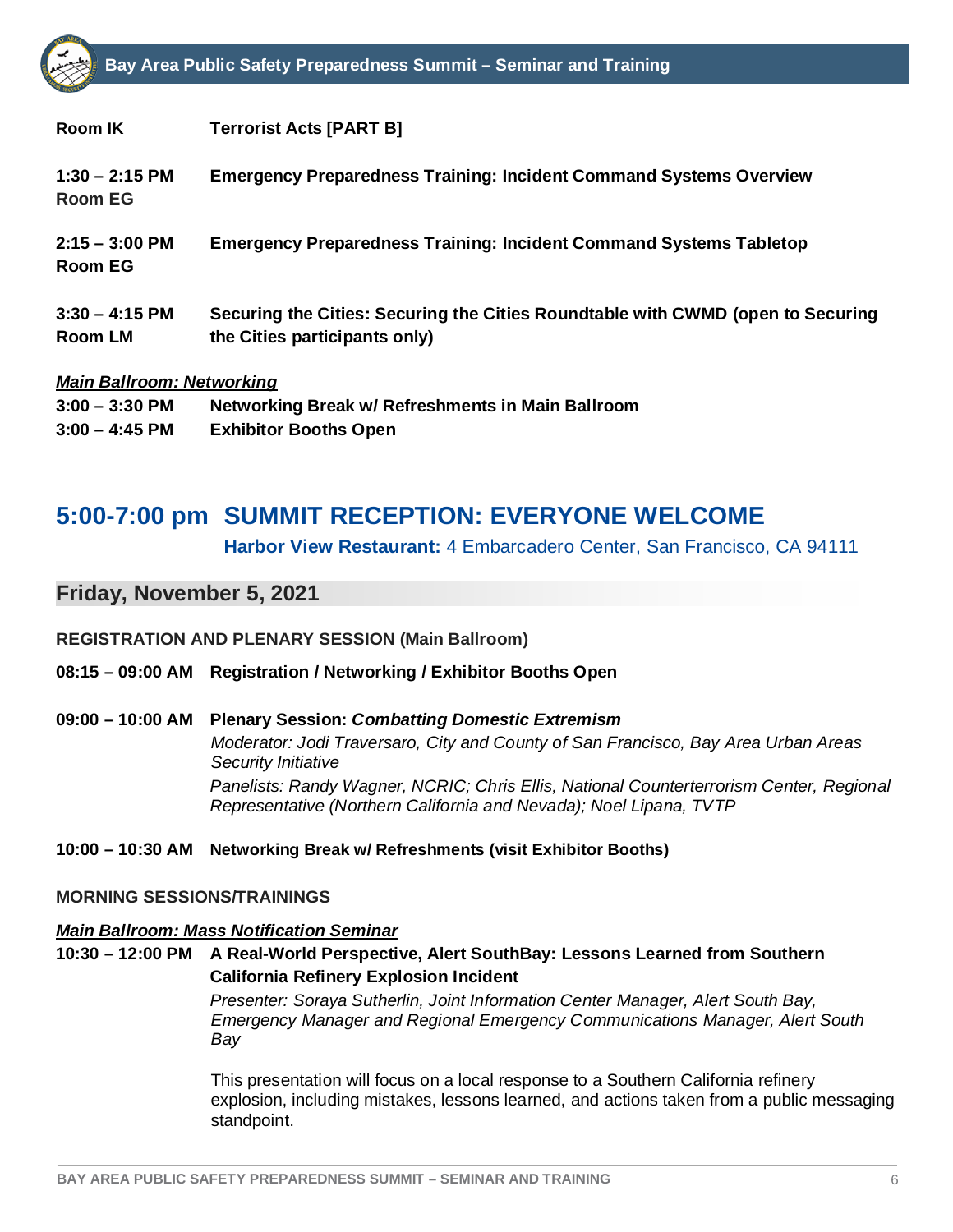

| Room IK                            | <b>Terrorist Acts [PART B]</b>                                                  |
|------------------------------------|---------------------------------------------------------------------------------|
| $1:30 - 2:15$ PM<br><b>Room EG</b> | <b>Emergency Preparedness Training: Incident Command Systems Overview</b>       |
| $2:15 - 3:00$ PM<br><b>Room EG</b> | <b>Emergency Preparedness Training: Incident Command Systems Tabletop</b>       |
| $3:30 - 4:15$ PM                   | Securing the Cities: Securing the Cities Roundtable with CWMD (open to Securing |
| Room LM                            | the Cities participants only)                                                   |
| <b>Main Ballroom: Networking</b>   |                                                                                 |
| $3.00 - 3.30$ DM                   | Notworking Broak w/ Pofroshmonts in Main Rallroom                               |

**3:00 – 3:30 PM Networking Break w/ Refreshments in Main Ballroom 3:00 – 4:45 PM Exhibitor Booths Open**

### **5:00-7:00 pm SUMMIT RECEPTION: EVERYONE WELCOME**

**Harbor View Restaurant:** 4 Embarcadero Center, San Francisco, CA 94111

#### **Friday, November 5, 2021**

#### **REGISTRATION AND PLENARY SESSION (Main Ballroom)**

#### **08:15 – 09:00 AM Registration / Networking / Exhibitor Booths Open**

**09:00 – 10:00 AM Plenary Session:** *Combatting Domestic Extremism Moderator: Jodi Traversaro, City and County of San Francisco, Bay Area Urban Areas Security Initiative Panelists: Randy Wagner, NCRIC; Chris Ellis, National Counterterrorism Center, Regional Representative (Northern California and Nevada); Noel Lipana, TVTP*

#### **10:00 – 10:30 AM Networking Break w/ Refreshments (visit Exhibitor Booths)**

#### **MORNING SESSIONS/TRAININGS**

#### *Main Ballroom: Mass Notification Seminar*

**10:30 – 12:00 PM A Real-World Perspective, Alert SouthBay: Lessons Learned from Southern California Refinery Explosion Incident**

> *Presenter: Soraya Sutherlin, Joint Information Center Manager, Alert South Bay, Emergency Manager and Regional Emergency Communications Manager, Alert South Bay*

This presentation will focus on a local response to a Southern California refinery explosion, including mistakes, lessons learned, and actions taken from a public messaging standpoint.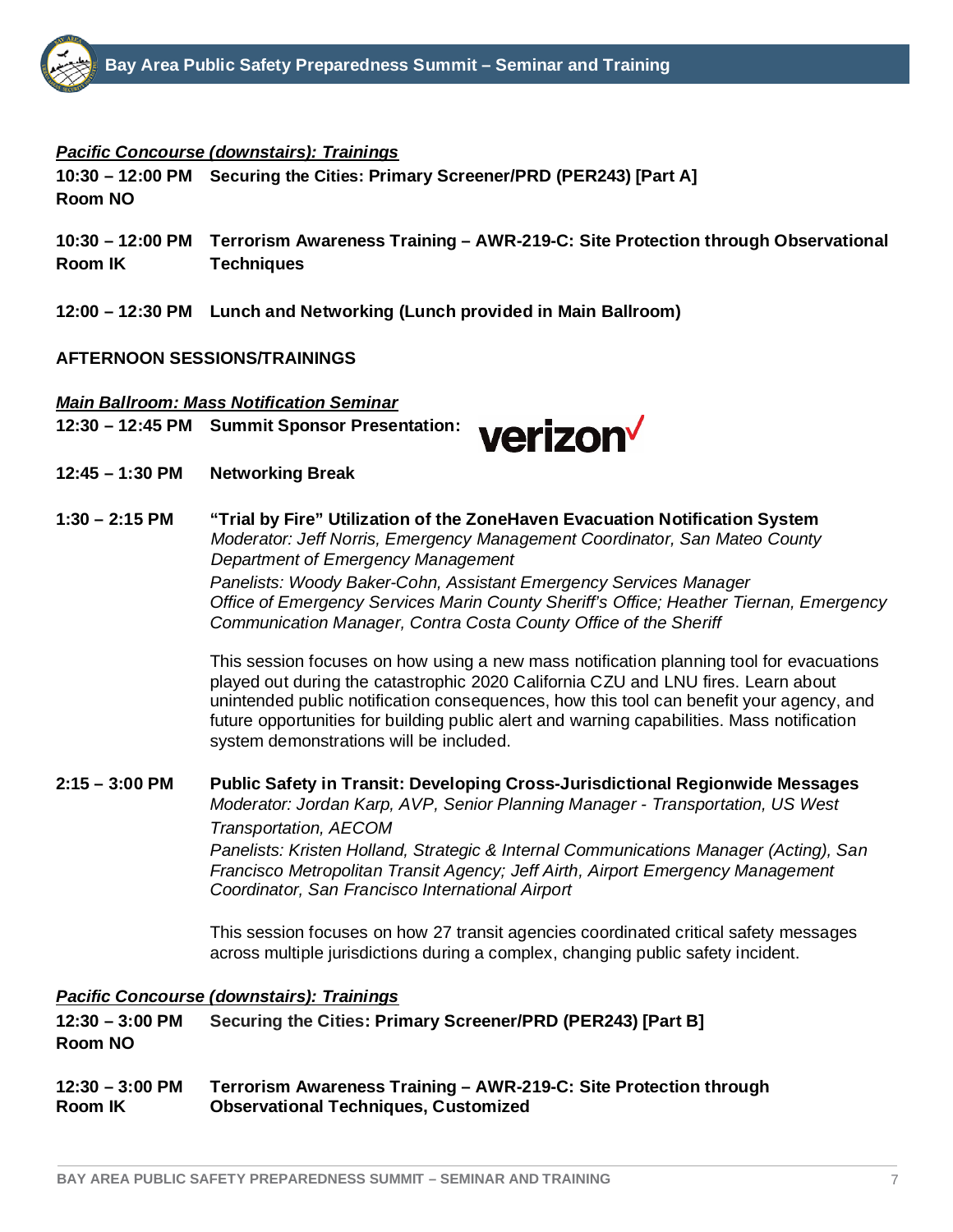#### *Pacific Concourse (downstairs): Trainings*

**10:30 – 12:00 PM Securing the Cities: Primary Screener/PRD (PER243) [Part A] Room NO**

- **10:30 – 12:00 PM Terrorism Awareness Training – AWR-219-C: Site Protection through Observational Room IK Techniques**
- **12:00 – 12:30 PM Lunch and Networking (Lunch provided in Main Ballroom)**

#### **AFTERNOON SESSIONS/TRAININGS**

#### *Main Ballroom: Mass Notification Seminar* **12:30 – 12:45 PM Summit Sponsor Presentation:**



- **12:45 – 1:30 PM Networking Break**
- **1:30 – 2:15 PM "Trial by Fire" Utilization of the ZoneHaven Evacuation Notification System** *Moderator: Jeff Norris, Emergency Management Coordinator, San Mateo County Department of Emergency Management Panelists: Woody Baker-Cohn, Assistant Emergency Services Manager Office of Emergency Services Marin County Sheriff's Office; Heather Tiernan, Emergency Communication Manager, Contra Costa County Office of the Sheriff*

This session focuses on how using a new mass notification planning tool for evacuations played out during the catastrophic 2020 California CZU and LNU fires. Learn about unintended public notification consequences, how this tool can benefit your agency, and future opportunities for building public alert and warning capabilities. Mass notification system demonstrations will be included.

#### **2:15 – 3:00 PM Public Safety in Transit: Developing Cross-Jurisdictional Regionwide Messages** *Moderator: Jordan Karp, AVP, Senior Planning Manager - Transportation, US West Transportation, AECOM Panelists: Kristen Holland, Strategic & Internal Communications Manager (Acting), San Francisco Metropolitan Transit Agency; Jeff Airth, Airport Emergency Management Coordinator, San Francisco International Airport*

This session focuses on how 27 transit agencies coordinated critical safety messages across multiple jurisdictions during a complex, changing public safety incident.

#### *Pacific Concourse (downstairs): Trainings*

**12:30 – 3:00 PM Securing the Cities: Primary Screener/PRD (PER243) [Part B] Room NO**

#### **12:30 – 3:00 PM Terrorism Awareness Training – AWR-219-C: Site Protection through Room IK Observational Techniques, Customized**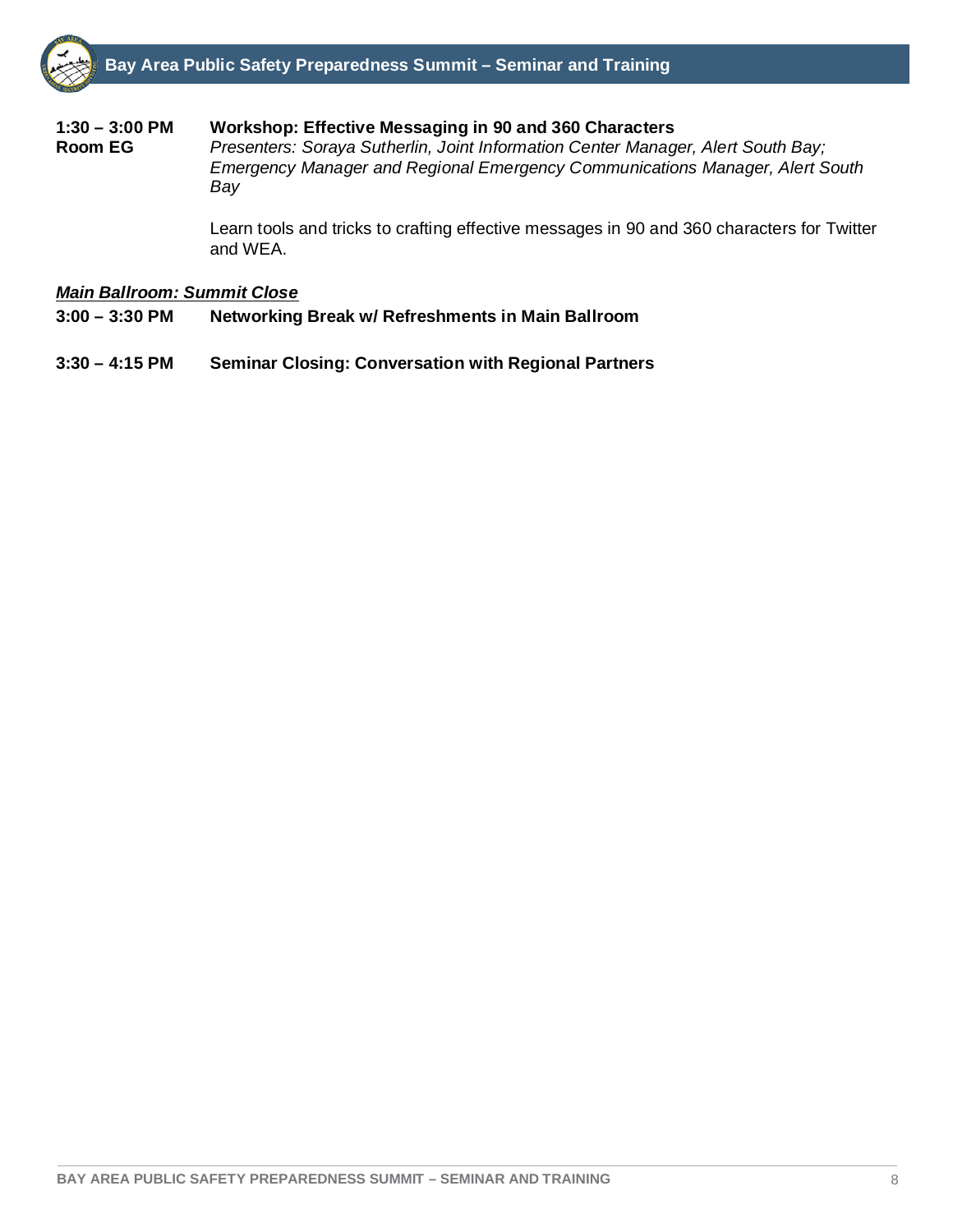# **1:30 – 3:00 PM Workshop: Effective Messaging in 90 and 360 Characters**

**Presenters: Soraya Sutherlin, Joint Information Center Manager, Alert South Bay;** *Emergency Manager and Regional Emergency Communications Manager, Alert South Bay*

Learn tools and tricks to crafting effective messages in 90 and 360 characters for Twitter and WEA.

#### *Main Ballroom: Summit Close*

- **3:00 – 3:30 PM Networking Break w/ Refreshments in Main Ballroom**
- **3:30 – 4:15 PM Seminar Closing: Conversation with Regional Partners**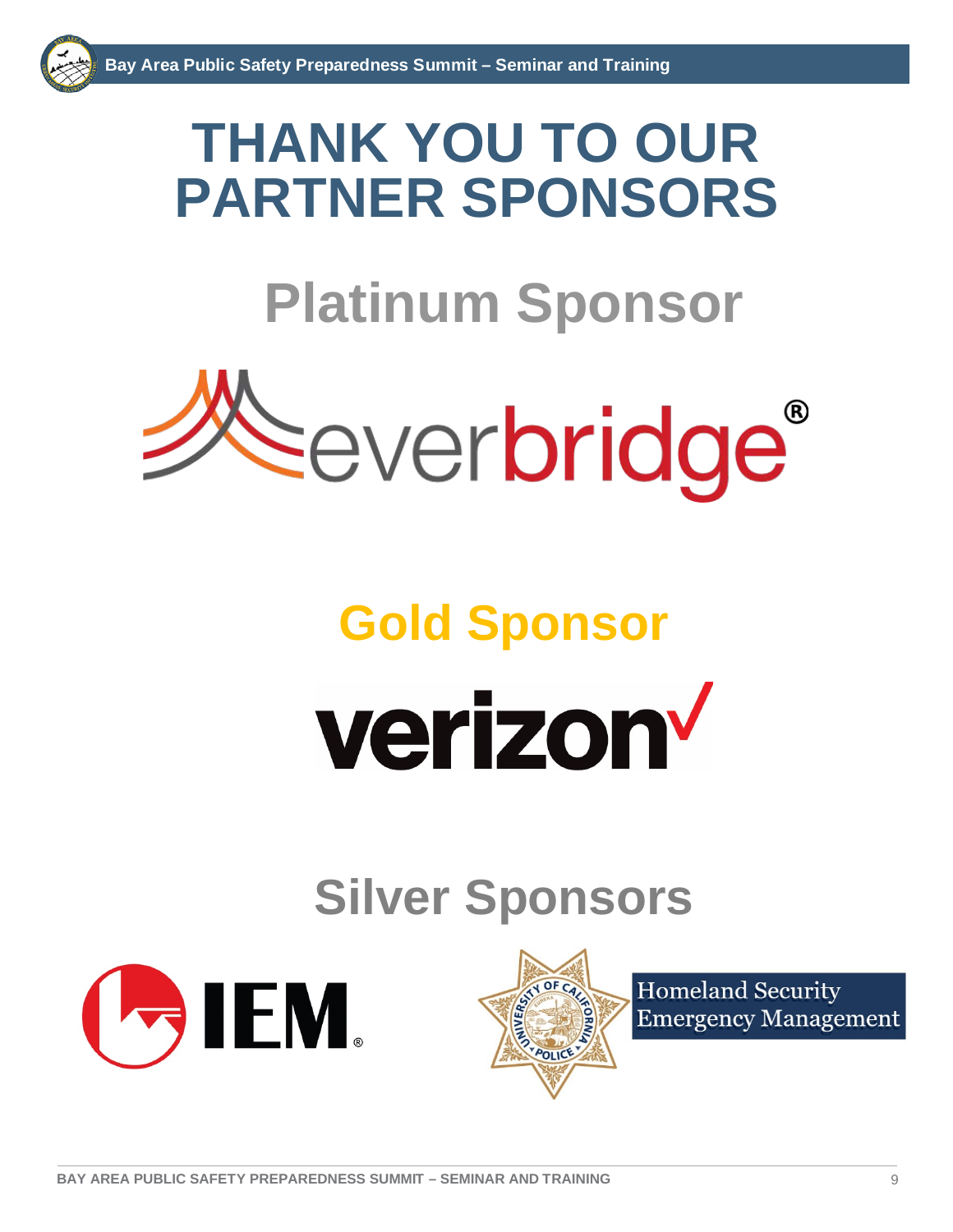# **THANK YOU TO OUR PARTNER SPONSORS**

# **Platinum Sponsor**



# **Gold Sponsor** verizon

# **Silver Sponsors**





**Homeland Security Emergency Management**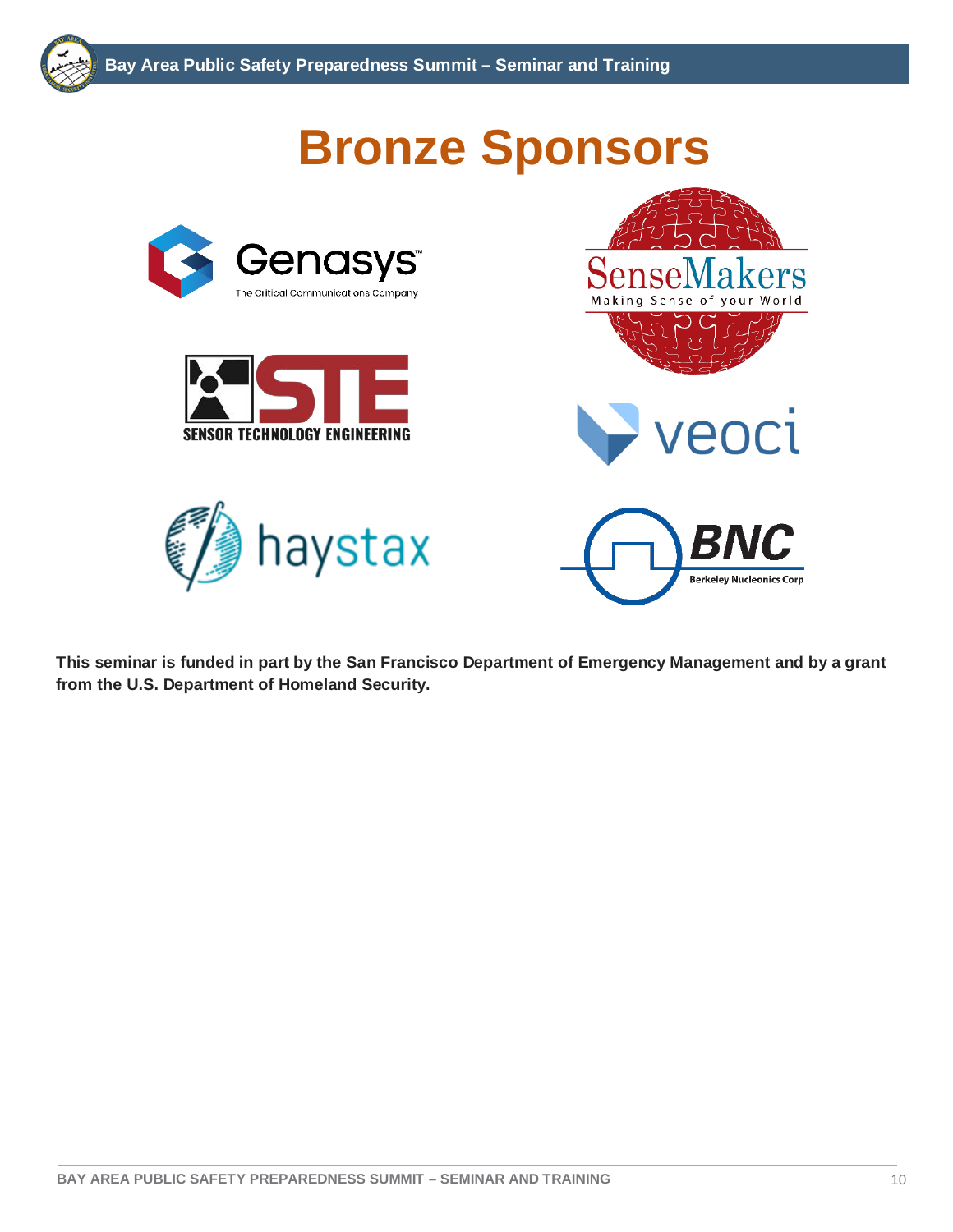

**This seminar is funded in part by the San Francisco Department of Emergency Management and by a grant from the U.S. Department of Homeland Security.**